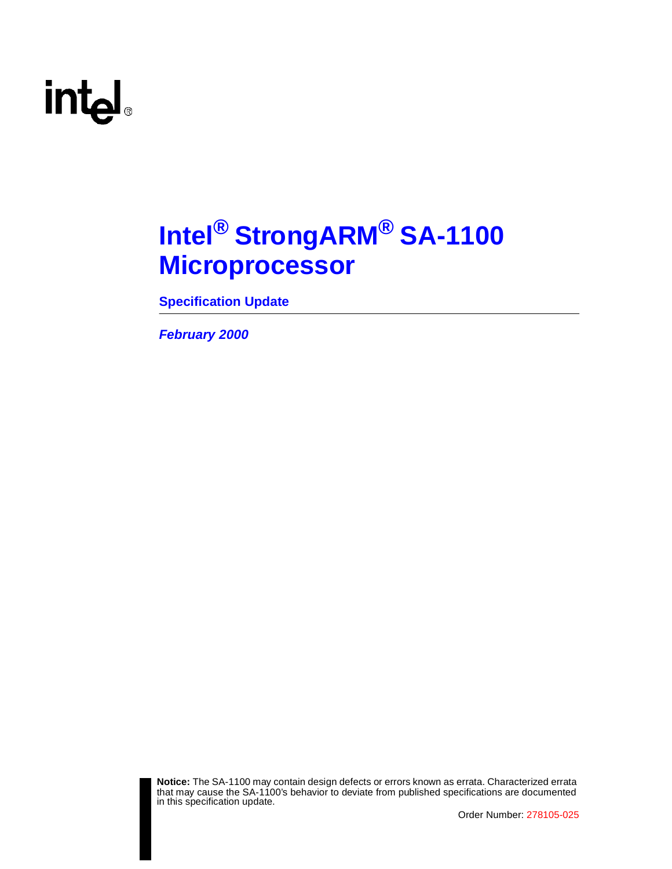### **Intel® StrongARM® SA-1100 Microprocessor**

**Specification Update**

**February 2000**



**Notice:** The SA-1100 may contain design defects or errors known as errata. Characterized errata that may cause the SA-1100's behavior to deviate from published specifications are documented in this specification update.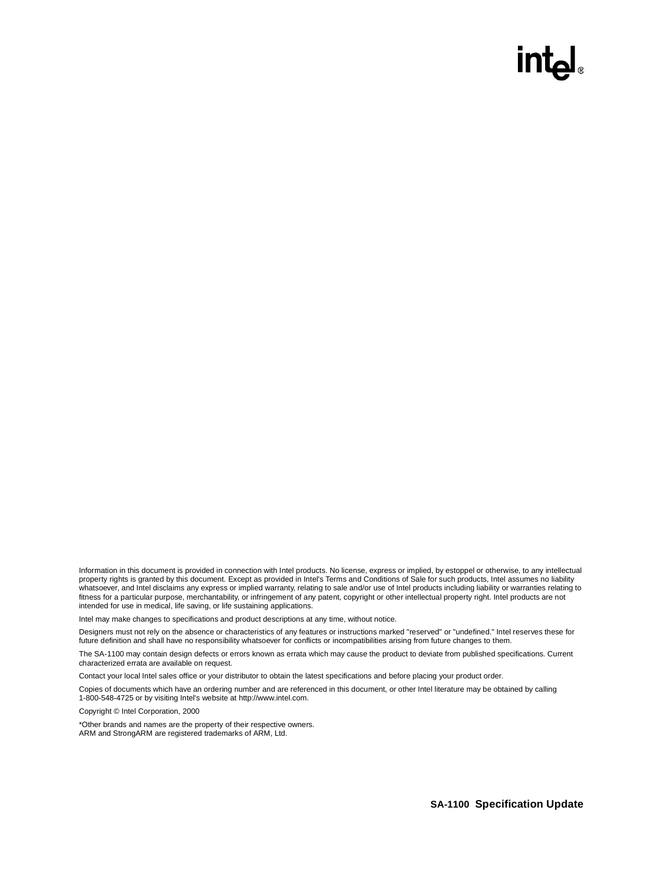### int<sub>e</sub>

Information in this document is provided in connection with Intel products. No license, express or implied, by estoppel or otherwise, to any intellectual property rights is granted by this document. Except as provided in Intel's Terms and Conditions of Sale for such products, Intel assumes no liability<br>whatsoever, and Intel disclaims any express or implied warranty, relatin fitness for a particular purpose, merchantability, or infringement of any patent, copyright or other intellectual property right. Intel products are not intended for use in medical, life saving, or life sustaining applications.

Intel may make changes to specifications and product descriptions at any time, without notice.

Designers must not rely on the absence or characteristics of any features or instructions marked "reserved" or "undefined." Intel reserves these for future definition and shall have no responsibility whatsoever for conflicts or incompatibilities arising from future changes to them.

The SA-1100 may contain design defects or errors known as errata which may cause the product to deviate from published specifications. Current characterized errata are available on request.

Contact your local Intel sales office or your distributor to obtain the latest specifications and before placing your product order.

Copies of documents which have an ordering number and are referenced in this document, or other Intel literature may be obtained by calling 1-800-548-4725 or by visiting Intel's website at http://www.intel.com.

Copyright © Intel Corporation, 2000

\*Other brands and names are the property of their respective owners. ARM and StrongARM are registered trademarks of ARM, Ltd.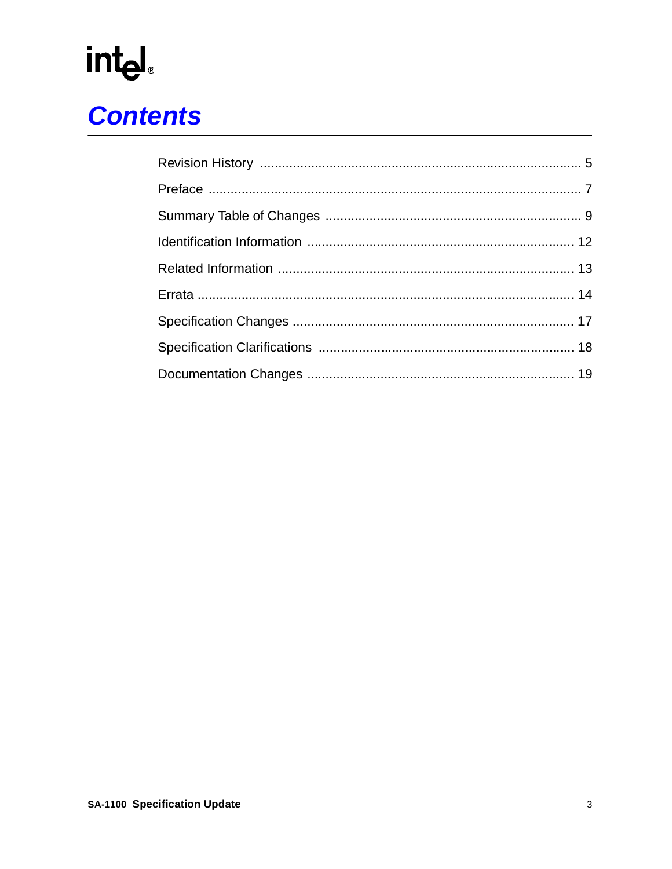# int<sub>el</sub><br>Contents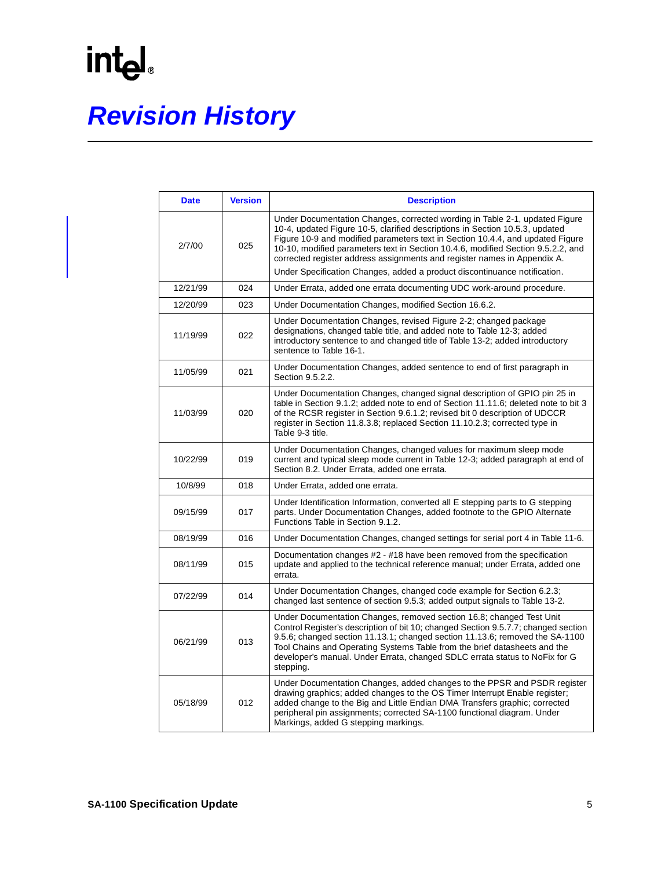# **Revision History**

| <b>Date</b> | <b>Version</b> | <b>Description</b>                                                                                                                                                                                                                                                                                                                                                                                                                                                                         |
|-------------|----------------|--------------------------------------------------------------------------------------------------------------------------------------------------------------------------------------------------------------------------------------------------------------------------------------------------------------------------------------------------------------------------------------------------------------------------------------------------------------------------------------------|
| 2/7/00      | 025            | Under Documentation Changes, corrected wording in Table 2-1, updated Figure<br>10-4, updated Figure 10-5, clarified descriptions in Section 10.5.3, updated<br>Figure 10-9 and modified parameters text in Section 10.4.4, and updated Figure<br>10-10, modified parameters text in Section 10.4.6, modified Section 9.5.2.2, and<br>corrected register address assignments and register names in Appendix A.<br>Under Specification Changes, added a product discontinuance notification. |
| 12/21/99    | 024            | Under Errata, added one errata documenting UDC work-around procedure.                                                                                                                                                                                                                                                                                                                                                                                                                      |
| 12/20/99    | 023            | Under Documentation Changes, modified Section 16.6.2.                                                                                                                                                                                                                                                                                                                                                                                                                                      |
| 11/19/99    | 022            | Under Documentation Changes, revised Figure 2-2; changed package<br>designations, changed table title, and added note to Table 12-3; added<br>introductory sentence to and changed title of Table 13-2; added introductory<br>sentence to Table 16-1.                                                                                                                                                                                                                                      |
| 11/05/99    | 021            | Under Documentation Changes, added sentence to end of first paragraph in<br>Section 9.5.2.2.                                                                                                                                                                                                                                                                                                                                                                                               |
| 11/03/99    | 020            | Under Documentation Changes, changed signal description of GPIO pin 25 in<br>table in Section 9.1.2; added note to end of Section 11.11.6; deleted note to bit 3<br>of the RCSR register in Section 9.6.1.2; revised bit 0 description of UDCCR<br>register in Section 11.8.3.8; replaced Section 11.10.2.3; corrected type in<br>Table 9-3 title.                                                                                                                                         |
| 10/22/99    | 019            | Under Documentation Changes, changed values for maximum sleep mode<br>current and typical sleep mode current in Table 12-3; added paragraph at end of<br>Section 8.2. Under Errata, added one errata.                                                                                                                                                                                                                                                                                      |
| 10/8/99     | 018            | Under Errata, added one errata.                                                                                                                                                                                                                                                                                                                                                                                                                                                            |
| 09/15/99    | 017            | Under Identification Information, converted all E stepping parts to G stepping<br>parts. Under Documentation Changes, added footnote to the GPIO Alternate<br>Functions Table in Section 9.1.2.                                                                                                                                                                                                                                                                                            |
| 08/19/99    | 016            | Under Documentation Changes, changed settings for serial port 4 in Table 11-6.                                                                                                                                                                                                                                                                                                                                                                                                             |
| 08/11/99    | 015            | Documentation changes #2 - #18 have been removed from the specification<br>update and applied to the technical reference manual; under Errata, added one<br>errata.                                                                                                                                                                                                                                                                                                                        |
| 07/22/99    | 014            | Under Documentation Changes, changed code example for Section 6.2.3;<br>changed last sentence of section 9.5.3; added output signals to Table 13-2.                                                                                                                                                                                                                                                                                                                                        |
| 06/21/99    | 013            | Under Documentation Changes, removed section 16.8; changed Test Unit<br>Control Register's description of bit 10; changed Section 9.5.7.7; changed section<br>9.5.6; changed section 11.13.1; changed section 11.13.6; removed the SA-1100<br>Tool Chains and Operating Systems Table from the brief datasheets and the<br>developer's manual. Under Errata, changed SDLC errata status to NoFix for G<br>stepping.                                                                        |
| 05/18/99    | 012            | Under Documentation Changes, added changes to the PPSR and PSDR register<br>drawing graphics; added changes to the OS Timer Interrupt Enable register;<br>added change to the Big and Little Endian DMA Transfers graphic; corrected<br>peripheral pin assignments; corrected SA-1100 functional diagram. Under<br>Markings, added G stepping markings.                                                                                                                                    |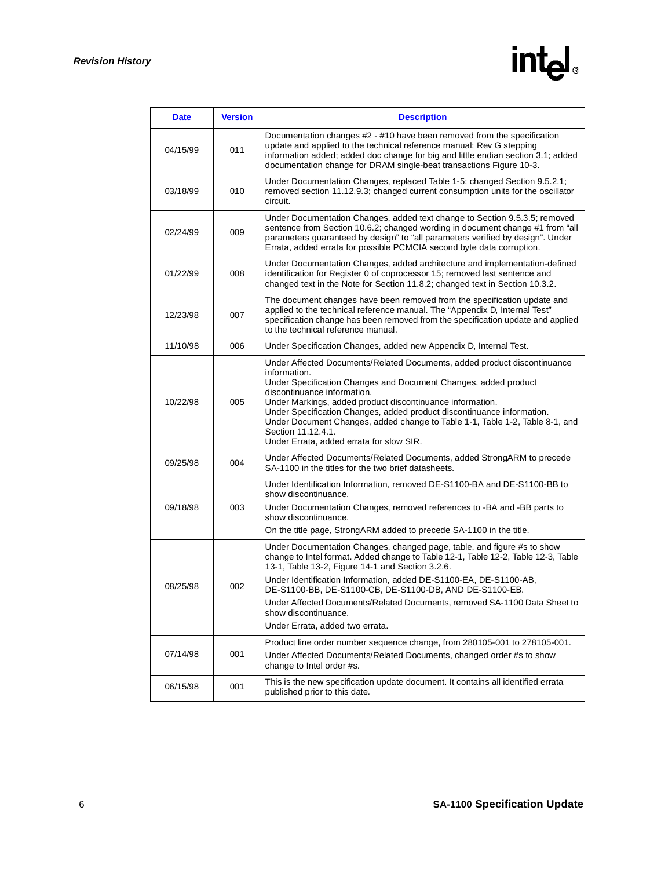| <b>Date</b> | <b>Version</b> | <b>Description</b>                                                                                                                                                                                                                                                                                                                                                                                                                                                                       |
|-------------|----------------|------------------------------------------------------------------------------------------------------------------------------------------------------------------------------------------------------------------------------------------------------------------------------------------------------------------------------------------------------------------------------------------------------------------------------------------------------------------------------------------|
| 04/15/99    | 011            | Documentation changes #2 - #10 have been removed from the specification<br>update and applied to the technical reference manual; Rev G stepping<br>information added; added doc change for big and little endian section 3.1; added<br>documentation change for DRAM single-beat transactions Figure 10-3.                                                                                                                                                                               |
| 03/18/99    | 010            | Under Documentation Changes, replaced Table 1-5; changed Section 9.5.2.1;<br>removed section 11.12.9.3; changed current consumption units for the oscillator<br>circuit.                                                                                                                                                                                                                                                                                                                 |
| 02/24/99    | 009            | Under Documentation Changes, added text change to Section 9.5.3.5; removed<br>sentence from Section 10.6.2; changed wording in document change #1 from "all<br>parameters quaranteed by design" to "all parameters verified by design". Under<br>Errata, added errata for possible PCMCIA second byte data corruption.                                                                                                                                                                   |
| 01/22/99    | 008            | Under Documentation Changes, added architecture and implementation-defined<br>identification for Register 0 of coprocessor 15; removed last sentence and<br>changed text in the Note for Section 11.8.2; changed text in Section 10.3.2.                                                                                                                                                                                                                                                 |
| 12/23/98    | 007            | The document changes have been removed from the specification update and<br>applied to the technical reference manual. The "Appendix D, Internal Test"<br>specification change has been removed from the specification update and applied<br>to the technical reference manual.                                                                                                                                                                                                          |
| 11/10/98    | 006            | Under Specification Changes, added new Appendix D, Internal Test.                                                                                                                                                                                                                                                                                                                                                                                                                        |
| 10/22/98    | 005            | Under Affected Documents/Related Documents, added product discontinuance<br>information.<br>Under Specification Changes and Document Changes, added product<br>discontinuance information.<br>Under Markings, added product discontinuance information.<br>Under Specification Changes, added product discontinuance information.<br>Under Document Changes, added change to Table 1-1, Table 1-2, Table 8-1, and<br>Section 11.12.4.1.<br>Under Errata, added errata for slow SIR.      |
| 09/25/98    | 004            | Under Affected Documents/Related Documents, added StrongARM to precede<br>SA-1100 in the titles for the two brief datasheets.                                                                                                                                                                                                                                                                                                                                                            |
| 09/18/98    | 003            | Under Identification Information, removed DE-S1100-BA and DE-S1100-BB to<br>show discontinuance.<br>Under Documentation Changes, removed references to -BA and -BB parts to<br>show discontinuance.<br>On the title page, StrongARM added to precede SA-1100 in the title.                                                                                                                                                                                                               |
| 08/25/98    | 002            | Under Documentation Changes, changed page, table, and figure #s to show<br>change to Intel format. Added change to Table 12-1, Table 12-2, Table 12-3, Table<br>13-1, Table 13-2, Figure 14-1 and Section 3.2.6.<br>Under Identification Information, added DE-S1100-EA, DE-S1100-AB,<br>DE-S1100-BB, DE-S1100-CB, DE-S1100-DB, AND DE-S1100-EB.<br>Under Affected Documents/Related Documents, removed SA-1100 Data Sheet to<br>show discontinuance.<br>Under Errata, added two errata. |
| 07/14/98    | 001            | Product line order number sequence change, from 280105-001 to 278105-001.<br>Under Affected Documents/Related Documents, changed order #s to show<br>change to Intel order #s.                                                                                                                                                                                                                                                                                                           |
| 06/15/98    | 001            | This is the new specification update document. It contains all identified errata<br>published prior to this date.                                                                                                                                                                                                                                                                                                                                                                        |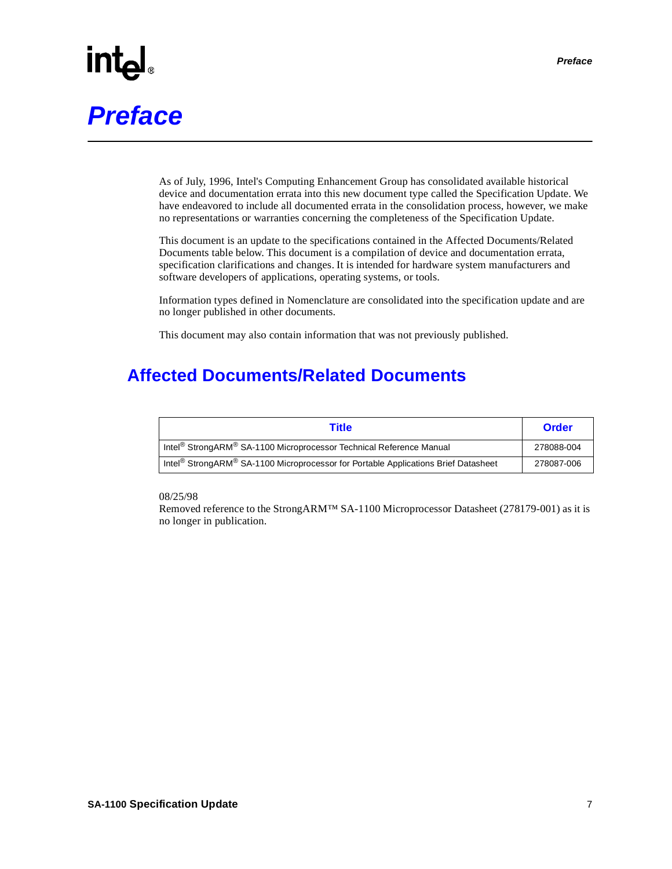# **Preface**

As of July, 1996, Intel's Computing Enhancement Group has consolidated available historical device and documentation errata into this new document type called the Specification Update. We have endeavored to include all documented errata in the consolidation process, however, we make no representations or warranties concerning the completeness of the Specification Update.

This document is an update to the specifications contained in the Affected Documents/Related Documents table below. This document is a compilation of device and documentation errata, specification clarifications and changes. It is intended for hardware system manufacturers and software developers of applications, operating systems, or tools.

Information types defined in Nomenclature are consolidated into the specification update and are no longer published in other documents.

This document may also contain information that was not previously published.

### **Affected Documents/Related Documents**

| Title                                                                                                      | Order      |
|------------------------------------------------------------------------------------------------------------|------------|
| Intel <sup>®</sup> StrongARM <sup>®</sup> SA-1100 Microprocessor Technical Reference Manual                | 278088-004 |
| Intel <sup>®</sup> StrongARM <sup>®</sup> SA-1100 Microprocessor for Portable Applications Brief Datasheet | 278087-006 |

#### 08/25/98

Removed reference to the StrongARM™ SA-1100 Microprocessor Datasheet (278179-001) as it is no longer in publication.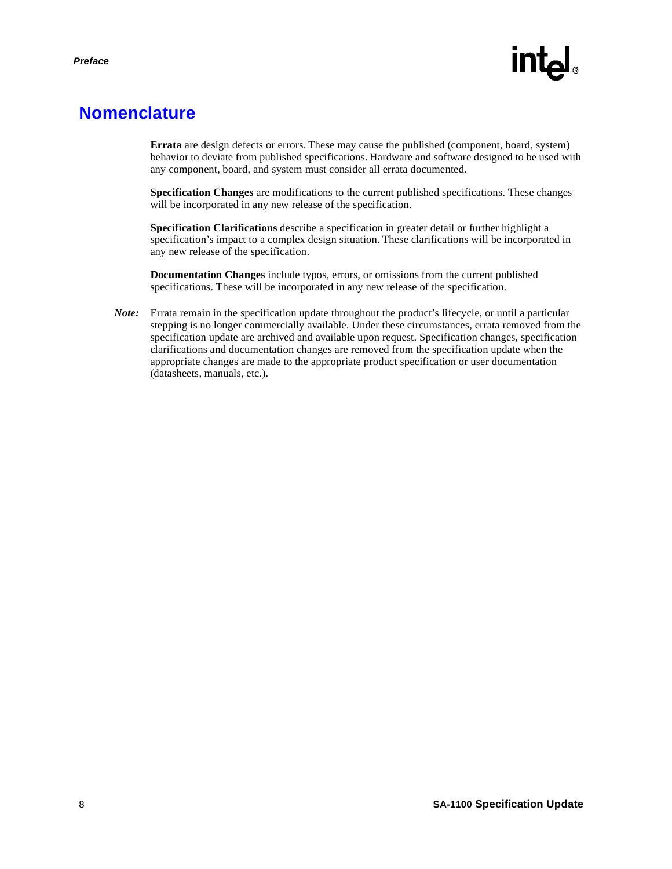### **Nomenclature**

**Errata** are design defects or errors. These may cause the published (component, board, system) behavior to deviate from published specifications. Hardware and software designed to be used with any component, board, and system must consider all errata documented.

**Specification Changes** are modifications to the current published specifications. These changes will be incorporated in any new release of the specification.

**Specification Clarifications** describe a specification in greater detail or further highlight a specification's impact to a complex design situation. These clarifications will be incorporated in any new release of the specification.

**Documentation Changes** include typos, errors, or omissions from the current published specifications. These will be incorporated in any new release of the specification.

*Note:* Errata remain in the specification update throughout the product's lifecycle, or until a particular stepping is no longer commercially available. Under these circumstances, errata removed from the specification update are archived and available upon request. Specification changes, specification clarifications and documentation changes are removed from the specification update when the appropriate changes are made to the appropriate product specification or user documentation (datasheets, manuals, etc.).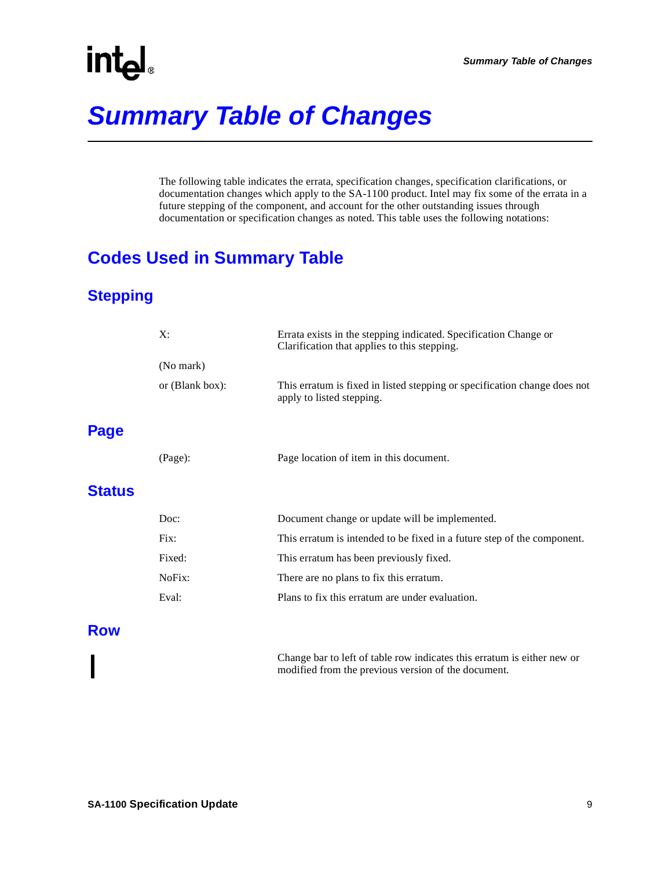### **Summary Table of Changes**

The following table indicates the errata, specification changes, specification clarifications, or documentation changes which apply to the SA-1100 product. Intel may fix some of the errata in a future stepping of the component, and account for the other outstanding issues through documentation or specification changes as noted. This table uses the following notations:

### **Codes Used in Summary Table**

### **Stepping**

| X:                 | Errata exists in the stepping indicated. Specification Change or<br>Clarification that applies to this stepping. |
|--------------------|------------------------------------------------------------------------------------------------------------------|
| (No mark)          |                                                                                                                  |
| or $(Blank box)$ : | This erratum is fixed in listed stepping or specification change does not<br>apply to listed stepping.           |
| (Page):            | Page location of item in this document.                                                                          |
| Doc:               | Document change or update will be implemented.                                                                   |
| Fix:               | This erratum is intended to be fixed in a future step of the component.                                          |
| Fixed:             | This erratum has been previously fixed.                                                                          |
| NoFix:             | There are no plans to fix this erratum.                                                                          |
| Eval:              | Plans to fix this erratum are under evaluation.                                                                  |
|                    |                                                                                                                  |

### **Row**

**Page**

**Status**

Change bar to left of table row indicates this erratum is either new or modified from the previous version of the document.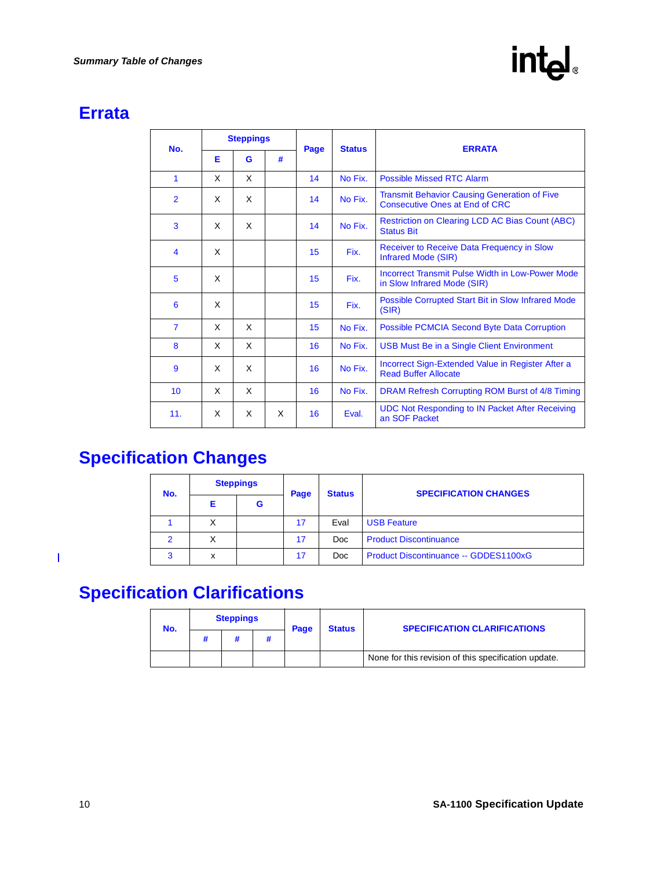### **Errata**

| No.              | <b>Steppings</b> |   |   | Page | <b>Status</b>                                              | <b>ERRATA</b>                                                                                |  |
|------------------|------------------|---|---|------|------------------------------------------------------------|----------------------------------------------------------------------------------------------|--|
|                  | Е                | G | # |      |                                                            |                                                                                              |  |
| $\mathbf{1}$     | X                | X |   | 14   | No Fix.                                                    | Possible Missed RTC Alarm                                                                    |  |
| $\overline{2}$   | X                | X |   | 14   | No Fix.                                                    | <b>Transmit Behavior Causing Generation of Five</b><br><b>Consecutive Ones at End of CRC</b> |  |
| 3                | X                | X |   | 14   | No Fix.                                                    | <b>Restriction on Clearing LCD AC Bias Count (ABC)</b><br><b>Status Bit</b>                  |  |
| $\boldsymbol{4}$ | X                |   |   | 15   | Fix.                                                       | Receiver to Receive Data Frequency in Slow<br>Infrared Mode (SIR)                            |  |
| 5                | X                |   |   | 15   | Fix.                                                       | Incorrect Transmit Pulse Width in Low-Power Mode<br>in Slow Infrared Mode (SIR)              |  |
| 6                | X                |   |   | 15   | Fix.                                                       | Possible Corrupted Start Bit in Slow Infrared Mode<br>(SIR)                                  |  |
| $\overline{7}$   | X                | X |   | 15   | No Fix.                                                    | <b>Possible PCMCIA Second Byte Data Corruption</b>                                           |  |
| 8                | X                | X |   | 16   | No Fix.                                                    | USB Must Be in a Single Client Environment                                                   |  |
| 9                | X                | X |   | 16   | No Fix.                                                    | Incorrect Sign-Extended Value in Register After a<br><b>Read Buffer Allocate</b>             |  |
| 10               | X                | X |   | 16   | No Fix.<br>DRAM Refresh Corrupting ROM Burst of 4/8 Timing |                                                                                              |  |
| 11.              | X                | X | X | 16   | Eval.                                                      | UDC Not Responding to IN Packet After Receiving<br>an SOF Packet                             |  |

### **Specification Changes**

|               | <b>Steppings</b><br>No. |   | Page | <b>Status</b> | <b>SPECIFICATION CHANGES</b>          |
|---------------|-------------------------|---|------|---------------|---------------------------------------|
|               |                         | G |      |               |                                       |
|               | Χ                       |   | 17   | Eval          | <b>USB Feature</b>                    |
| $\mathcal{P}$ | x                       |   | 17   | Doc           | <b>Product Discontinuance</b>         |
| 3             | x                       |   | 17   | Doc           | Product Discontinuance -- GDDES1100xG |

### **Specification Clarifications**

| No. | <b>Steppings</b> |  | Page | <b>Status</b> | <b>SPECIFICATION CLARIFICATIONS</b> |                                                      |
|-----|------------------|--|------|---------------|-------------------------------------|------------------------------------------------------|
|     | #<br>π           |  |      |               |                                     |                                                      |
|     |                  |  |      |               |                                     | None for this revision of this specification update. |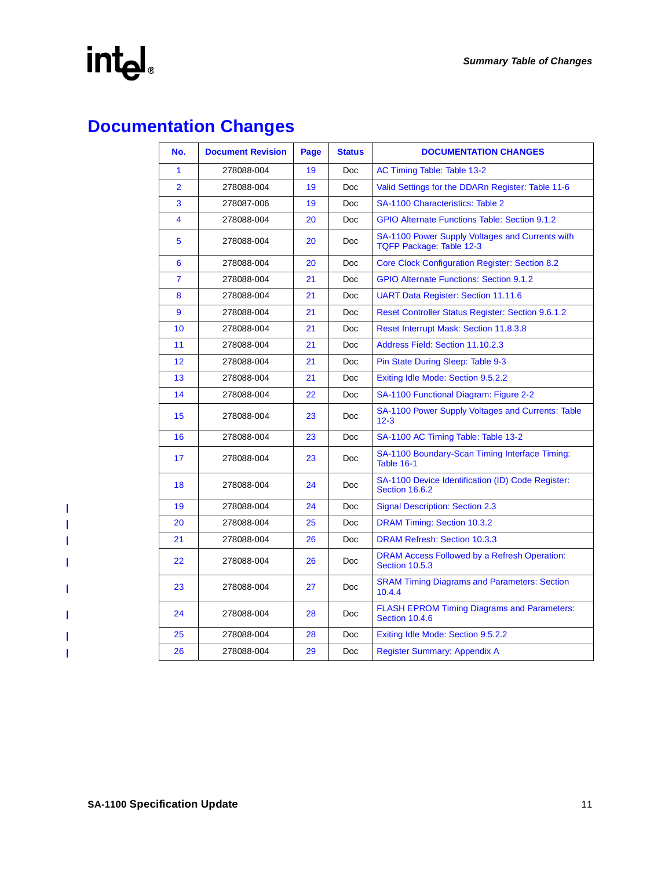$\mathbf{I}$  $\mathbf I$  $\mathbf{I}$  $\mathbf{I}$ 

 $\mathbf{I}$ 

 $\mathbf I$  $\overline{\phantom{a}}$  $\mathbf{I}$ 

### **Documentation Changes**

| No.            | <b>Document Revision</b> | Page | <b>Status</b> | <b>DOCUMENTATION CHANGES</b>                                                |  |
|----------------|--------------------------|------|---------------|-----------------------------------------------------------------------------|--|
| 1              | 278088-004               | 19   | <b>Doc</b>    | AC Timing Table: Table 13-2                                                 |  |
| $\overline{2}$ | 278088-004               | 19   | <b>Doc</b>    | Valid Settings for the DDARn Register: Table 11-6                           |  |
| 3              | 278087-006               | 19   | Doc           | <b>SA-1100 Characteristics: Table 2</b>                                     |  |
| 4              | 278088-004               | 20   | <b>Doc</b>    | <b>GPIO Alternate Functions Table: Section 9.1.2</b>                        |  |
| 5              | 278088-004               | 20   | Doc           | SA-1100 Power Supply Voltages and Currents with<br>TQFP Package: Table 12-3 |  |
| 6              | 278088-004               | 20   | <b>Doc</b>    | <b>Core Clock Configuration Register: Section 8.2</b>                       |  |
| $\overline{7}$ | 278088-004               | 21   | Doc           | <b>GPIO Alternate Functions: Section 9.1.2</b>                              |  |
| 8              | 278088-004               | 21   | <b>Doc</b>    | <b>UART Data Register: Section 11.11.6</b>                                  |  |
| 9              | 278088-004               | 21   | Doc           | <b>Reset Controller Status Register: Section 9.6.1.2</b>                    |  |
| 10             | 278088-004               | 21   | <b>Doc</b>    | Reset Interrupt Mask: Section 11.8.3.8                                      |  |
| 11             | 278088-004               | 21   | Doc           | Address Field: Section 11.10.2.3                                            |  |
| 12             | 278088-004               | 21   | <b>Doc</b>    | Pin State During Sleep: Table 9-3                                           |  |
| 13             | 278088-004               | 21   | <b>Doc</b>    | Exiting Idle Mode: Section 9.5.2.2                                          |  |
| 14             | 278088-004               | 22   | <b>Doc</b>    | SA-1100 Functional Diagram: Figure 2-2                                      |  |
| 15             | 278088-004               | 23   | <b>Doc</b>    | SA-1100 Power Supply Voltages and Currents: Table<br>$12 - 3$               |  |
| 16             | 278088-004               | 23   | <b>Doc</b>    | SA-1100 AC Timing Table: Table 13-2                                         |  |
| 17             | 278088-004               | 23   | <b>Doc</b>    | SA-1100 Boundary-Scan Timing Interface Timing:<br>Table 16-1                |  |
| 18             | 278088-004               | 24   | Doc           | SA-1100 Device Identification (ID) Code Register:<br>Section 16.6.2         |  |
| 19             | 278088-004               | 24   | <b>Doc</b>    | <b>Signal Description: Section 2.3</b>                                      |  |
| 20             | 278088-004               | 25   | <b>Doc</b>    | DRAM Timing: Section 10.3.2                                                 |  |
| 21             | 278088-004               | 26   | Doc           | <b>DRAM Refresh: Section 10.3.3</b>                                         |  |
| 22             | 278088-004               | 26   | Doc           | DRAM Access Followed by a Refresh Operation:<br><b>Section 10.5.3</b>       |  |
| 23             | 278088-004               | 27   | Doc           | <b>SRAM Timing Diagrams and Parameters: Section</b><br>10.4.4               |  |
| 24             | 278088-004               | 28   | <b>Doc</b>    | <b>FLASH EPROM Timing Diagrams and Parameters:</b><br>Section 10.4.6        |  |
| 25             | 278088-004               | 28   | Doc           | Exiting Idle Mode: Section 9.5.2.2                                          |  |
| 26             | 278088-004               | 29   | <b>Doc</b>    | Register Summary: Appendix A                                                |  |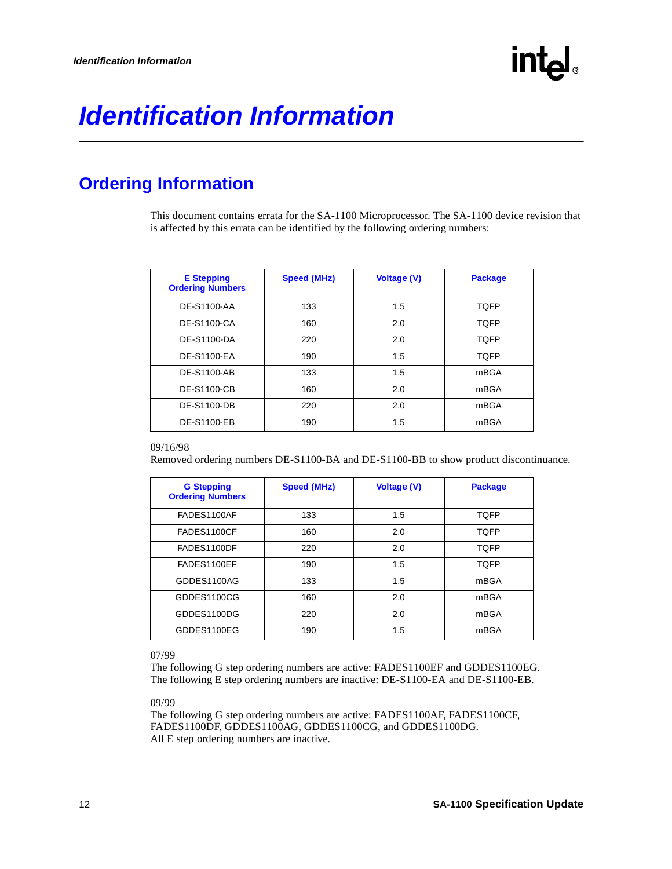### <span id="page-11-0"></span>**Identification Information**

### **Ordering Information**

This document contains errata for the SA-1100 Microprocessor. The SA-1100 device revision that is affected by this errata can be identified by the following ordering numbers:

| <b>E</b> Stepping<br><b>Ordering Numbers</b> | <b>Speed (MHz)</b> | <b>Voltage (V)</b> | <b>Package</b> |
|----------------------------------------------|--------------------|--------------------|----------------|
| DE-S1100-AA                                  | 133                | 1.5                | <b>TQFP</b>    |
| DE-S1100-CA                                  | 160                | 2.0                | <b>TQFP</b>    |
| DE-S1100-DA                                  | 220                | 2.0                | <b>TQFP</b>    |
| DE-S1100-EA                                  | 190                | 1.5                | <b>TQFP</b>    |
| DE-S1100-AB                                  | 133                | 1.5                | mBGA           |
| <b>DE-S1100-CB</b>                           | 160                | 2.0                | mBGA           |
| DE-S1100-DB                                  | 220                | 2.0                | mBGA           |
| <b>DE-S1100-EB</b>                           | 190                | 1.5                | mBGA           |

#### 09/16/98

Removed ordering numbers DE-S1100-BA and DE-S1100-BB to show product discontinuance.

| <b>G</b> Stepping<br><b>Ordering Numbers</b> | <b>Speed (MHz)</b> | <b>Voltage (V)</b> | <b>Package</b> |
|----------------------------------------------|--------------------|--------------------|----------------|
| FADES1100AF                                  | 133                | 1.5                | <b>TQFP</b>    |
| FADES1100CF                                  | 160                | 2.0                | <b>TOFP</b>    |
| FADES1100DF                                  | 220                | 2.0                | <b>TOFP</b>    |
| FADES1100EF                                  | 190                | 1.5                | <b>TQFP</b>    |
| GDDES1100AG                                  | 133                | 1.5                | mBGA           |
| GDDES1100CG                                  | 160                | 2.0                | mBGA           |
| GDDES1100DG                                  | 220                | 2.0                | mBGA           |
| GDDES1100EG                                  | 190                | 1.5                | mBGA           |

#### 07/99

The following G step ordering numbers are active: FADES1100EF and GDDES1100EG. The following E step ordering numbers are inactive: DE-S1100-EA and DE-S1100-EB.

#### 09/99

The following G step ordering numbers are active: FADES1100AF, FADES1100CF, FADES1100DF, GDDES1100AG, GDDES1100CG, and GDDES1100DG. All E step ordering numbers are inactive.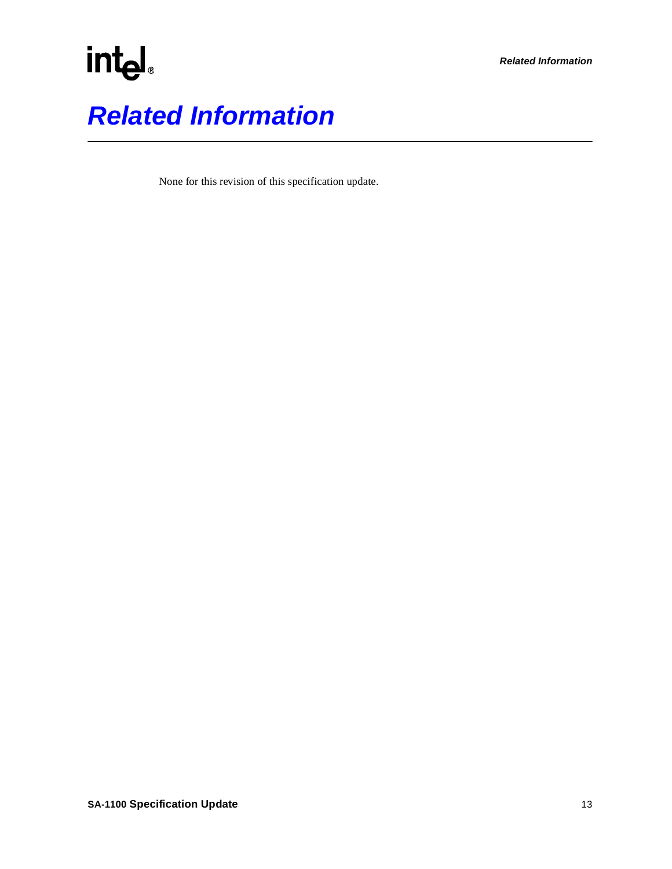# intel. **Related Information**

None for this revision of this specification update.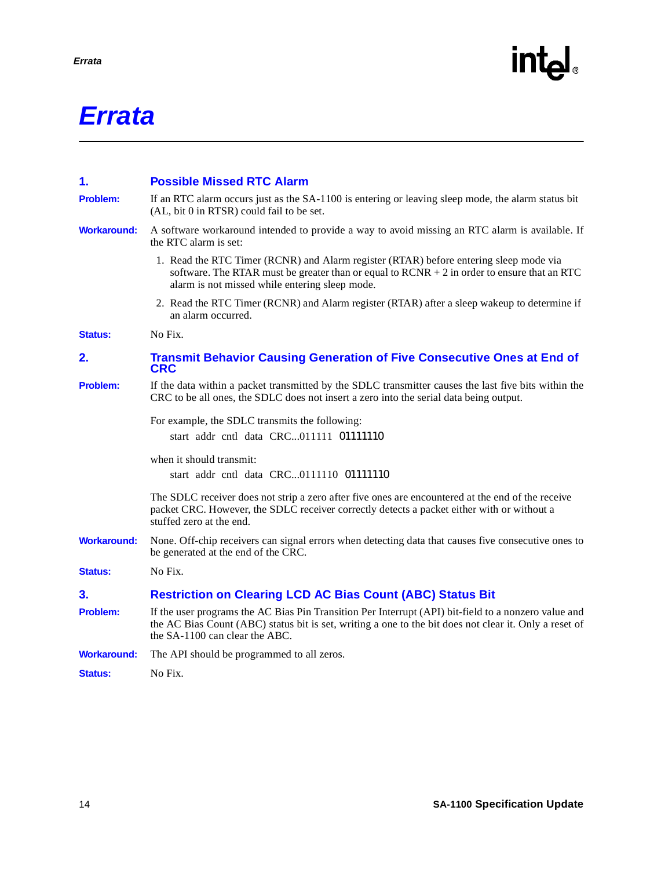### **Errata**

<span id="page-13-5"></span><span id="page-13-4"></span><span id="page-13-3"></span><span id="page-13-2"></span><span id="page-13-1"></span><span id="page-13-0"></span>

| 1.                 | <b>Possible Missed RTC Alarm</b>                                                                                                                                                                                                                 |
|--------------------|--------------------------------------------------------------------------------------------------------------------------------------------------------------------------------------------------------------------------------------------------|
| <b>Problem:</b>    | If an RTC alarm occurs just as the SA-1100 is entering or leaving sleep mode, the alarm status bit<br>(AL, bit 0 in RTSR) could fail to be set.                                                                                                  |
| <b>Workaround:</b> | A software workaround intended to provide a way to avoid missing an RTC alarm is available. If<br>the RTC alarm is set:                                                                                                                          |
|                    | 1. Read the RTC Timer (RCNR) and Alarm register (RTAR) before entering sleep mode via<br>software. The RTAR must be greater than or equal to $RCNR + 2$ in order to ensure that an RTC<br>alarm is not missed while entering sleep mode.         |
|                    | 2. Read the RTC Timer (RCNR) and Alarm register (RTAR) after a sleep wakeup to determine if<br>an alarm occurred.                                                                                                                                |
| <b>Status:</b>     | No Fix.                                                                                                                                                                                                                                          |
| 2.                 | <b>Transmit Behavior Causing Generation of Five Consecutive Ones at End of</b><br><b>CRC</b>                                                                                                                                                     |
| <b>Problem:</b>    | If the data within a packet transmitted by the SDLC transmitter causes the last five bits within the<br>CRC to be all ones, the SDLC does not insert a zero into the serial data being output.                                                   |
|                    | For example, the SDLC transmits the following:<br>start   addr   cntl   data $ $ CRC011111   01111110                                                                                                                                            |
|                    | when it should transmit:<br>start   addr   cntl   data   CRC0111110   01111110                                                                                                                                                                   |
|                    | The SDLC receiver does not strip a zero after five ones are encountered at the end of the receive<br>packet CRC. However, the SDLC receiver correctly detects a packet either with or without a<br>stuffed zero at the end.                      |
| <b>Workaround:</b> | None. Off-chip receivers can signal errors when detecting data that causes five consecutive ones to<br>be generated at the end of the CRC.                                                                                                       |
| <b>Status:</b>     | No Fix.                                                                                                                                                                                                                                          |
| 3.                 | <b>Restriction on Clearing LCD AC Bias Count (ABC) Status Bit</b>                                                                                                                                                                                |
| Problem:           | If the user programs the AC Bias Pin Transition Per Interrupt (API) bit-field to a nonzero value and<br>the AC Bias Count (ABC) status bit is set, writing a one to the bit does not clear it. Only a reset of<br>the SA-1100 can clear the ABC. |
| <b>Workaround:</b> | The API should be programmed to all zeros.                                                                                                                                                                                                       |
| <b>Status:</b>     | No Fix.                                                                                                                                                                                                                                          |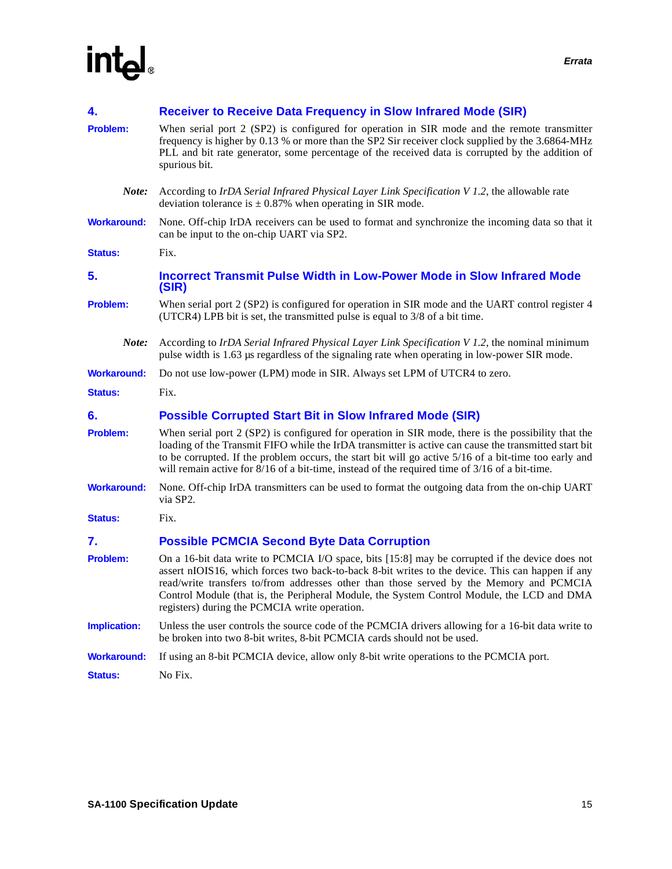<span id="page-14-6"></span><span id="page-14-5"></span><span id="page-14-4"></span><span id="page-14-3"></span><span id="page-14-2"></span><span id="page-14-1"></span><span id="page-14-0"></span>

| 4.                  | <b>Receiver to Receive Data Frequency in Slow Infrared Mode (SIR)</b>                                                                                                                                                                                                                                                                                                                                                                         |
|---------------------|-----------------------------------------------------------------------------------------------------------------------------------------------------------------------------------------------------------------------------------------------------------------------------------------------------------------------------------------------------------------------------------------------------------------------------------------------|
| <b>Problem:</b>     | When serial port 2 (SP2) is configured for operation in SIR mode and the remote transmitter<br>frequency is higher by 0.13 % or more than the SP2 Sir receiver clock supplied by the 3.6864-MHz<br>PLL and bit rate generator, some percentage of the received data is corrupted by the addition of<br>spurious bit.                                                                                                                          |
| Note:               | According to IrDA Serial Infrared Physical Layer Link Specification V 1.2, the allowable rate<br>deviation tolerance is $\pm$ 0.87% when operating in SIR mode.                                                                                                                                                                                                                                                                               |
| <b>Workaround:</b>  | None. Off-chip IrDA receivers can be used to format and synchronize the incoming data so that it<br>can be input to the on-chip UART via SP2.                                                                                                                                                                                                                                                                                                 |
| <b>Status:</b>      | Fix.                                                                                                                                                                                                                                                                                                                                                                                                                                          |
| 5.                  | <b>Incorrect Transmit Pulse Width in Low-Power Mode in Slow Infrared Mode</b><br>(SIR)                                                                                                                                                                                                                                                                                                                                                        |
| <b>Problem:</b>     | When serial port 2 (SP2) is configured for operation in SIR mode and the UART control register 4<br>(UTCR4) LPB bit is set, the transmitted pulse is equal to 3/8 of a bit time.                                                                                                                                                                                                                                                              |
| Note:               | According to IrDA Serial Infrared Physical Layer Link Specification V 1.2, the nominal minimum<br>pulse width is 1.63 µs regardless of the signaling rate when operating in low-power SIR mode.                                                                                                                                                                                                                                               |
| <b>Workaround:</b>  | Do not use low-power (LPM) mode in SIR. Always set LPM of UTCR4 to zero.                                                                                                                                                                                                                                                                                                                                                                      |
| <b>Status:</b>      | Fix.                                                                                                                                                                                                                                                                                                                                                                                                                                          |
| 6.                  | <b>Possible Corrupted Start Bit in Slow Infrared Mode (SIR)</b>                                                                                                                                                                                                                                                                                                                                                                               |
| <b>Problem:</b>     | When serial port 2 (SP2) is configured for operation in SIR mode, there is the possibility that the<br>loading of the Transmit FIFO while the IrDA transmitter is active can cause the transmitted start bit<br>to be corrupted. If the problem occurs, the start bit will go active 5/16 of a bit-time too early and<br>will remain active for $8/16$ of a bit-time, instead of the required time of $3/16$ of a bit-time.                   |
| <b>Workaround:</b>  | None. Off-chip IrDA transmitters can be used to format the outgoing data from the on-chip UART<br>via SP2.                                                                                                                                                                                                                                                                                                                                    |
| <b>Status:</b>      | Fix.                                                                                                                                                                                                                                                                                                                                                                                                                                          |
| 7.                  | <b>Possible PCMCIA Second Byte Data Corruption</b>                                                                                                                                                                                                                                                                                                                                                                                            |
| <b>Problem:</b>     | On a 16-bit data write to PCMCIA I/O space, bits [15:8] may be corrupted if the device does not<br>assert nIOIS16, which forces two back-to-back 8-bit writes to the device. This can happen if any<br>read/write transfers to/from addresses other than those served by the Memory and PCMCIA<br>Control Module (that is, the Peripheral Module, the System Control Module, the LCD and DMA<br>registers) during the PCMCIA write operation. |
| <b>Implication:</b> | Unless the user controls the source code of the PCMCIA drivers allowing for a 16-bit data write to<br>be broken into two 8-bit writes, 8-bit PCMCIA cards should not be used.                                                                                                                                                                                                                                                                 |
| <b>Workaround:</b>  | If using an 8-bit PCMCIA device, allow only 8-bit write operations to the PCMCIA port.                                                                                                                                                                                                                                                                                                                                                        |
| <b>Status:</b>      | No Fix.                                                                                                                                                                                                                                                                                                                                                                                                                                       |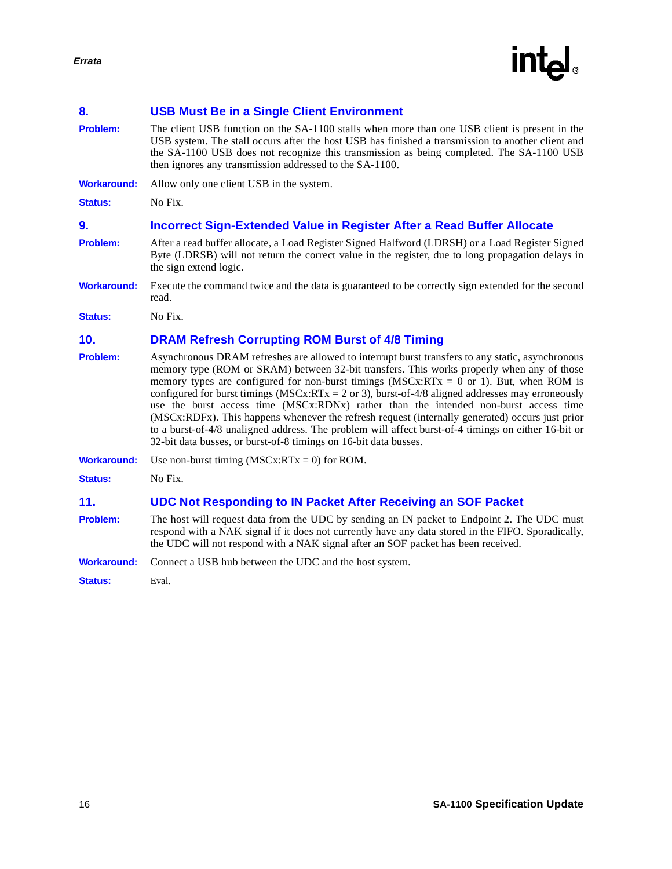

### <span id="page-15-0"></span>**8. USB Must Be in a Single Client Environment**

**Problem:** The client USB function on the SA-1100 stalls when more than one USB client is present in the USB system. The stall occurs after the host USB has finished a transmission to another client and the SA-1100 USB does not recognize this transmission as being completed. The SA-1100 USB then ignores any transmission addressed to the SA-1100.

**Workaround:** Allow only one client USB in the system.

<span id="page-15-1"></span>**Status:** No Fix.

#### <span id="page-15-2"></span>**9. Incorrect Sign-Extended Value in Register After a Read Buffer Allocate**

- **Problem:** After a read buffer allocate, a Load Register Signed Halfword (LDRSH) or a Load Register Signed Byte (LDRSB) will not return the correct value in the register, due to long propagation delays in the sign extend logic.
- **Workaround:** Execute the command twice and the data is guaranteed to be correctly sign extended for the second read.

<span id="page-15-3"></span>**Status:** No Fix.

#### <span id="page-15-4"></span>**10. DRAM Refresh Corrupting ROM Burst of 4/8 Timing**

**Problem:** Asynchronous DRAM refreshes are allowed to interrupt burst transfers to any static, asynchronous memory type (ROM or SRAM) between 32-bit transfers. This works properly when any of those memory types are configured for non-burst timings  $(MSCx:RTx = 0 \text{ or } 1)$ . But, when ROM is configured for burst timings ( $MSCx:RTx = 2$  or 3), burst-of-4/8 aligned addresses may erroneously use the burst access time (MSCx:RDNx) rather than the intended non-burst access time (MSCx:RDFx). This happens whenever the refresh request (internally generated) occurs just prior to a burst-of-4/8 unaligned address. The problem will affect burst-of-4 timings on either 16-bit or 32-bit data busses, or burst-of-8 timings on 16-bit data busses.

**Workaround:** Use non-burst timing (MSCx:RTx = 0) for ROM.

<span id="page-15-5"></span>**Status:** No Fix.

#### <span id="page-15-7"></span>**11. UDC Not Responding to IN Packet After Receiving an SOF Packet**

- **Problem:** The host will request data from the UDC by sending an IN packet to Endpoint 2. The UDC must respond with a NAK signal if it does not currently have any data stored in the FIFO. Sporadically, the UDC will not respond with a NAK signal after an SOF packet has been received.
- **Workaround:** Connect a USB hub between the UDC and the host system.

<span id="page-15-6"></span>**Status:** Eval.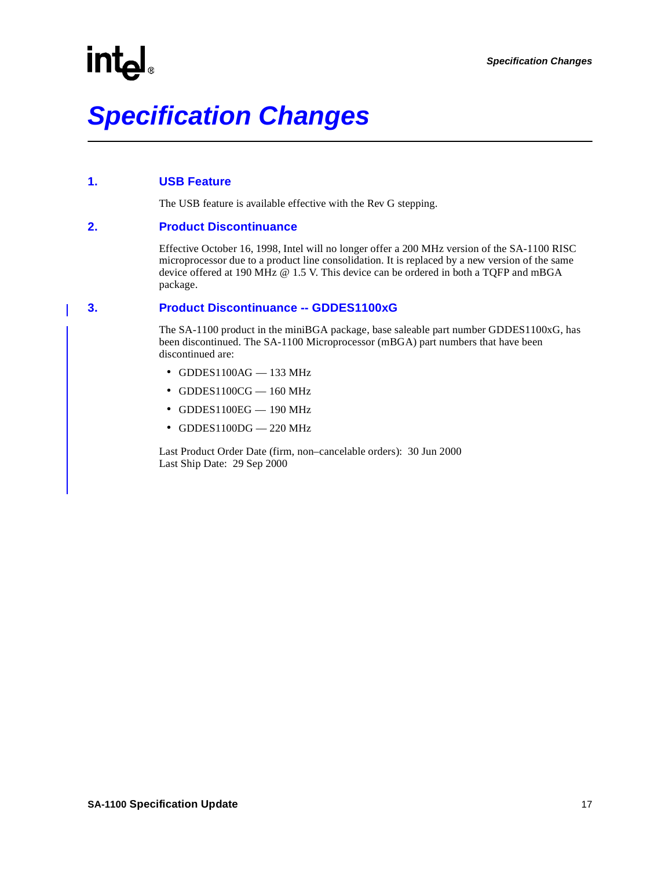### <span id="page-16-0"></span>**1. USB Feature**

The USB feature is available effective with the Rev G stepping.

### <span id="page-16-1"></span>**2. Product Discontinuance**

Effective October 16, 1998, Intel will no longer offer a 200 MHz version of the SA-1100 RISC microprocessor due to a product line consolidation. It is replaced by a new version of the same device offered at 190 MHz @ 1.5 V. This device can be ordered in both a TQFP and mBGA package.

### <span id="page-16-2"></span>**3. Product Discontinuance -- GDDES1100xG**

The SA-1100 product in the miniBGA package, base saleable part number GDDES1100xG, has been discontinued. The SA-1100 Microprocessor (mBGA) part numbers that have been discontinued are:

- $\bullet$  GDDES1100AG  $-$  133 MHz
- $\bullet$  GDDES1100CG 160 MHz
- $\bullet$  GDDES1100EG  $-$  190 MHz
- GDDES1100DG 220 MHz

Last Product Order Date (firm, non–cancelable orders): 30 Jun 2000 Last Ship Date: 29 Sep 2000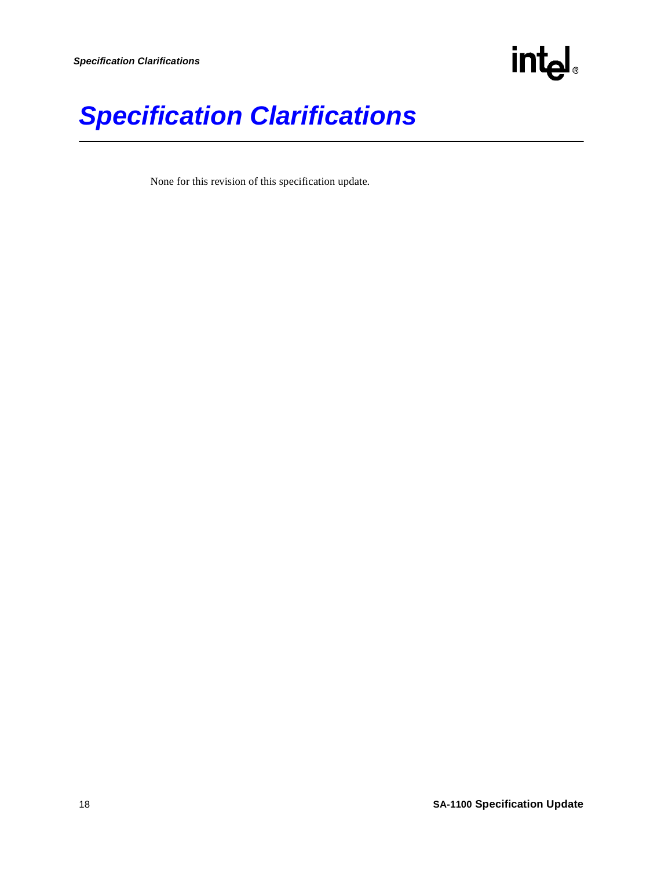

### **Specification Clarifications**

None for this revision of this specification update.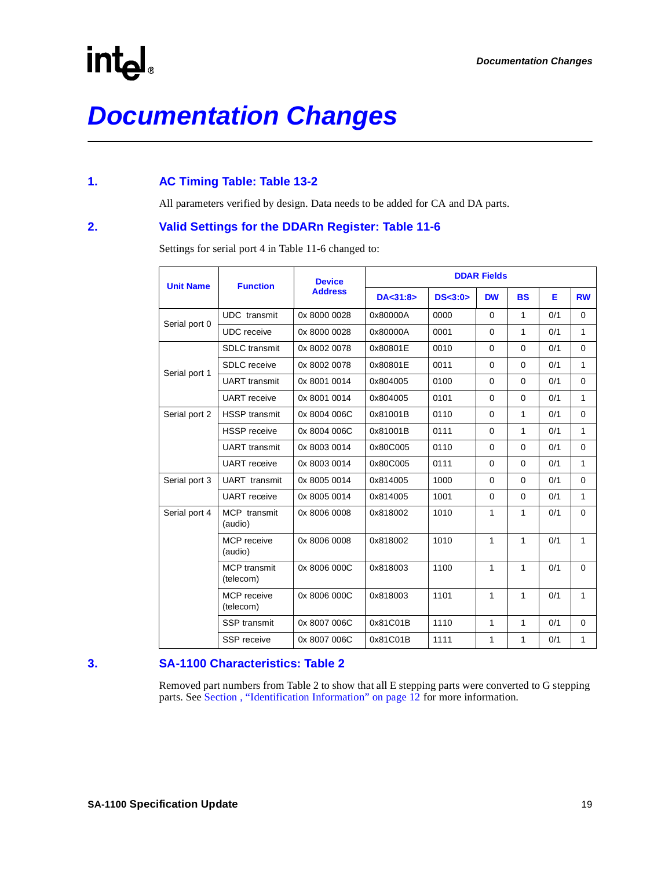### **Documentation Changes**

### <span id="page-18-0"></span>**1. AC Timing Table: Table 13-2**

All parameters verified by design. Data needs to be added for CA and DA parts.

### <span id="page-18-1"></span>**2. Valid Settings for the DDARn Register: Table 11-6**

Settings for serial port 4 in Table 11-6 changed to:

| <b>Unit Name</b> | <b>Function</b>                  | <b>Device</b>  | <b>DDAR Fields</b> |           |              |              |     |             |  |  |  |  |
|------------------|----------------------------------|----------------|--------------------|-----------|--------------|--------------|-----|-------------|--|--|--|--|
|                  |                                  | <b>Address</b> | DA < 31:8 >        | DS < 3:0> | <b>DW</b>    | <b>BS</b>    | Е   | <b>RW</b>   |  |  |  |  |
| Serial port 0    | <b>UDC</b> transmit              | 0x 8000 0028   | 0x80000A           | 0000      | $\Omega$     | 1            | 0/1 | $\Omega$    |  |  |  |  |
|                  | <b>UDC</b> receive               | 0x 8000 0028   | 0x80000A           | 0001      | $\Omega$     | 1            | 0/1 | 1           |  |  |  |  |
|                  | <b>SDLC</b> transmit             | 0x 8002 0078   | 0x80801E           | 0010      | $\Omega$     | $\Omega$     | 0/1 | $\Omega$    |  |  |  |  |
| Serial port 1    | <b>SDLC</b> receive              | 0x 8002 0078   | 0x80801E           | 0011      | $\Omega$     | 0            | 0/1 | 1           |  |  |  |  |
|                  | <b>UART</b> transmit             | 0x 8001 0014   | 0x804005           | 0100      | $\Omega$     | 0            | 0/1 | $\Omega$    |  |  |  |  |
|                  | <b>UART</b> receive              | 0x 8001 0014   | 0x804005           | 0101      | $\Omega$     | $\Omega$     | 0/1 | 1           |  |  |  |  |
| Serial port 2    | <b>HSSP</b> transmit             | 0x 8004 006C   | 0x81001B           | 0110      | $\mathbf 0$  | 1            | 0/1 | $\Omega$    |  |  |  |  |
|                  | <b>HSSP</b> receive              | 0x 8004 006C   | 0x81001B           | 0111      | $\Omega$     | 1            | 0/1 | 1           |  |  |  |  |
|                  | <b>UART</b> transmit             | 0x 8003 0014   | 0x80C005           | 0110      | $\Omega$     | 0            | 0/1 | $\Omega$    |  |  |  |  |
|                  | <b>UART</b> receive              | 0x 8003 0014   | 0x80C005           | 0111      | $\Omega$     | $\Omega$     | 0/1 | 1           |  |  |  |  |
| Serial port 3    | <b>UART</b> transmit             | 0x 8005 0014   | 0x814005           | 1000      | $\Omega$     | 0            | 0/1 | $\Omega$    |  |  |  |  |
|                  | <b>UART</b> receive              | 0x 8005 0014   | 0x814005           | 1001      | $\Omega$     | $\Omega$     | 0/1 | 1           |  |  |  |  |
| Serial port 4    | MCP transmit<br>(audio)          | 0x 8006 0008   | 0x818002           | 1010      | 1            | 1            | 0/1 | $\mathbf 0$ |  |  |  |  |
|                  | MCP receive<br>(audio)           | 0x 8006 0008   | 0x818002           | 1010      | 1            | $\mathbf{1}$ | 0/1 | 1           |  |  |  |  |
|                  | <b>MCP</b> transmit<br>(telecom) | 0x 8006 000C   | 0x818003           | 1100      | $\mathbf{1}$ | $\mathbf{1}$ | 0/1 | $\Omega$    |  |  |  |  |
|                  | MCP receive<br>(telecom)         | 0x 8006 000C   | 0x818003           | 1101      | 1            | 1            | 0/1 | 1           |  |  |  |  |
|                  | <b>SSP</b> transmit              | 0x 8007 006C   | 0x81C01B           | 1110      | 1            | 1            | 0/1 | $\mathbf 0$ |  |  |  |  |
|                  | <b>SSP</b> receive               | 0x 8007 006C   | 0x81C01B           | 1111      | 1            | 1            | 0/1 | 1           |  |  |  |  |

### <span id="page-18-2"></span>**3. SA-1100 Characteristics: Table 2**

Removed part numbers from Table 2 to show that all E stepping parts were converted to G stepping parts. See [Section , "Identification Information" on page 12](#page-11-0) for more information.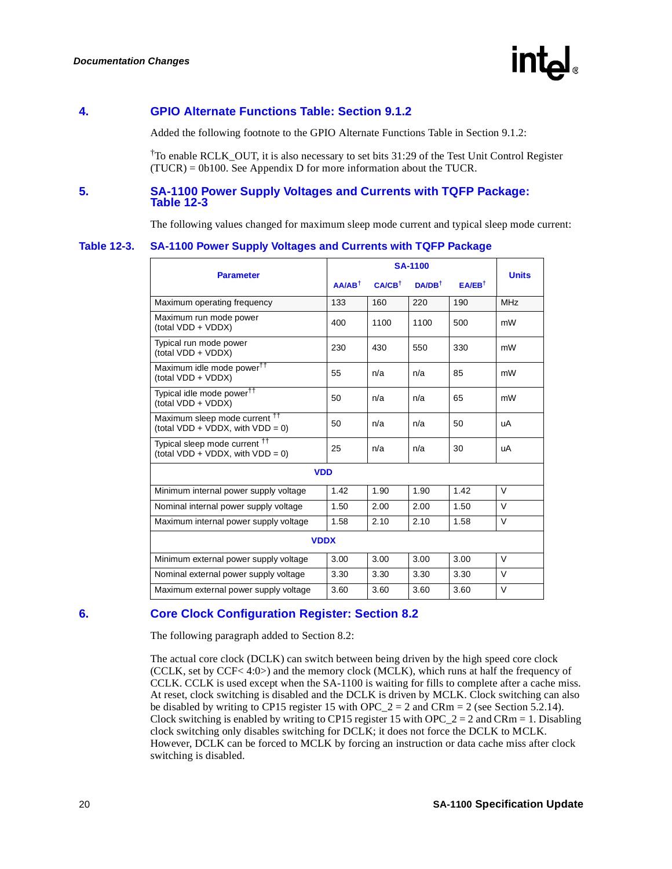

### <span id="page-19-0"></span>**4. GPIO Alternate Functions Table: Section 9.1.2**

Added the following footnote to the GPIO Alternate Functions Table in Section 9.1.2:

† To enable RCLK\_OUT, it is also necessary to set bits 31:29 of the Test Unit Control Register (TUCR) = 0b100. See Appendix D for more information about the TUCR.

### <span id="page-19-1"></span>**5. SA-1100 Power Supply Voltages and Currents with TQFP Package: Table 12-3**

The following values changed for maximum sleep mode current and typical sleep mode current:

#### **Table 12-3. SA-1100 Power Supply Voltages and Currents with TQFP Package**

|                                                                                    |                   | <b>Units</b>      |                   |                       |            |
|------------------------------------------------------------------------------------|-------------------|-------------------|-------------------|-----------------------|------------|
| <b>Parameter</b>                                                                   | $AA/AB^{\dagger}$ | $CA/CB^{\dagger}$ | $DA/DB^{\dagger}$ | $E$ A/EB <sup>t</sup> |            |
| Maximum operating frequency                                                        | 133               | 160               | 220               | 190                   | <b>MHz</b> |
| Maximum run mode power<br>(total VDD + VDDX)                                       | 400               | 1100              | 1100              | 500                   | mW         |
| Typical run mode power<br>(total VDD + VDDX)                                       | 230               | 430               | 550               | 330                   | mW         |
| Maximum idle mode power <sup>††</sup><br>(total VDD + VDDX)                        | 55                | n/a               | n/a               | 85                    | mW         |
| Typical idle mode power <sup>††</sup><br>(total VDD + VDDX)                        | 50                | n/a               | n/a               | 65                    | mW         |
| Maximum sleep mode current <sup>††</sup><br>(total $VDD + VDDX$ , with $VDD = 0$ ) | 50                | n/a               | n/a               | 50                    | uA         |
| Typical sleep mode current <sup>††</sup><br>(total $VDD + VDDX$ , with $VDD = 0$ ) | 25                | n/a               | n/a               | 30                    | uA         |
| <b>VDD</b>                                                                         |                   |                   |                   |                       |            |
| Minimum internal power supply voltage                                              | 1.42              | 1.90              | 1.90              | 1.42                  | $\vee$     |
| Nominal internal power supply voltage                                              | 1.50              | 2.00              | 2.00              | 1.50                  | $\vee$     |
| Maximum internal power supply voltage                                              | 1.58              | 2.10              | 2.10              | 1.58                  | $\vee$     |
| <b>VDDX</b>                                                                        |                   |                   |                   |                       |            |
| Minimum external power supply voltage                                              | 3.00              | 3.00              | 3.00              | 3.00                  | $\vee$     |
| Nominal external power supply voltage                                              | 3.30              | 3.30              | 3.30              | 3.30                  | $\vee$     |
| Maximum external power supply voltage                                              | 3.60              | 3.60              | 3.60              | 3.60                  | V          |

### <span id="page-19-2"></span>**6. Core Clock Configuration Register: Section 8.2**

The following paragraph added to Section 8.2:

The actual core clock (DCLK) can switch between being driven by the high speed core clock (CCLK, set by CCF< 4:0>) and the memory clock (MCLK), which runs at half the frequency of CCLK. CCLK is used except when the SA-1100 is waiting for fills to complete after a cache miss. At reset, clock switching is disabled and the DCLK is driven by MCLK. Clock switching can also be disabled by writing to CP15 register 15 with OPC\_2 = 2 and CRm = 2 (see Section 5.2.14). Clock switching is enabled by writing to CP15 register 15 with OPC\_2 = 2 and CRm = 1. Disabling clock switching only disables switching for DCLK; it does not force the DCLK to MCLK. However, DCLK can be forced to MCLK by forcing an instruction or data cache miss after clock switching is disabled.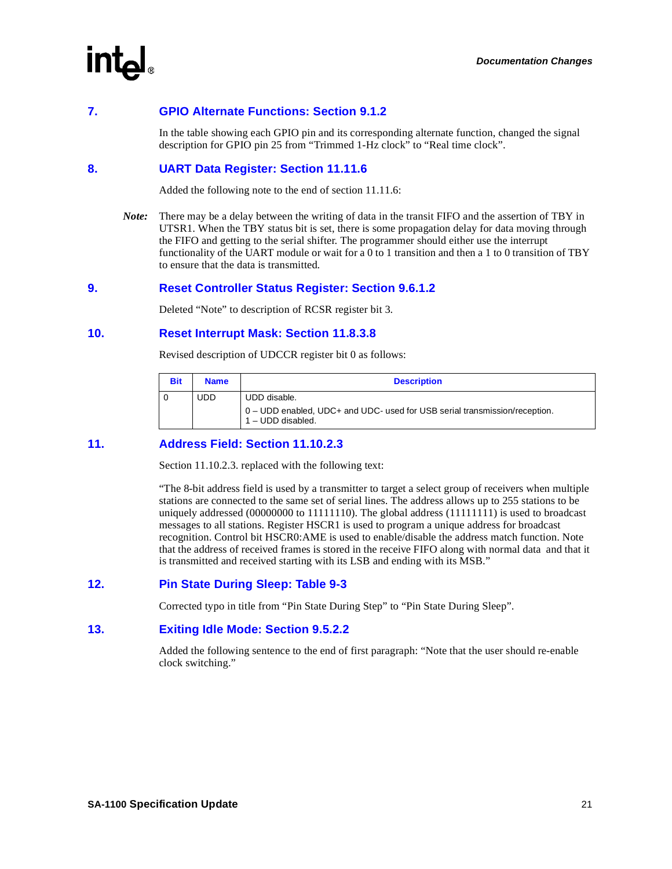### <span id="page-20-0"></span>**7. GPIO Alternate Functions: Section 9.1.2**

In the table showing each GPIO pin and its corresponding alternate function, changed the signal description for GPIO pin 25 from "Trimmed 1-Hz clock" to "Real time clock".

### <span id="page-20-1"></span>**8. UART Data Register: Section 11.11.6**

Added the following note to the end of section 11.11.6:

*Note:* There may be a delay between the writing of data in the transit FIFO and the assertion of TBY in UTSR1. When the TBY status bit is set, there is some propagation delay for data moving through the FIFO and getting to the serial shifter. The programmer should either use the interrupt functionality of the UART module or wait for a 0 to 1 transition and then a 1 to 0 transition of TBY to ensure that the data is transmitted.

### <span id="page-20-2"></span>**9. Reset Controller Status Register: Section 9.6.1.2**

Deleted "Note" to description of RCSR register bit 3.

### <span id="page-20-3"></span>**10. Reset Interrupt Mask: Section 11.8.3.8**

Revised description of UDCCR register bit 0 as follows:

| <b>Bit</b> | <b>Name</b> | <b>Description</b>                                                                                              |
|------------|-------------|-----------------------------------------------------------------------------------------------------------------|
|            | <b>UDD</b>  | UDD disable.<br>0 – UDD enabled, UDC+ and UDC- used for USB serial transmission/reception.<br>1 - UDD disabled. |

### <span id="page-20-4"></span>**11. Address Field: Section 11.10.2.3**

Section 11.10.2.3. replaced with the following text:

"The 8-bit address field is used by a transmitter to target a select group of receivers when multiple stations are connected to the same set of serial lines. The address allows up to 255 stations to be uniquely addressed (00000000 to 11111110). The global address (11111111) is used to broadcast messages to all stations. Register HSCR1 is used to program a unique address for broadcast recognition. Control bit HSCR0:AME is used to enable/disable the address match function. Note that the address of received frames is stored in the receive FIFO along with normal data and that it is transmitted and received starting with its LSB and ending with its MSB."

### <span id="page-20-5"></span>**12. Pin State During Sleep: Table 9-3**

Corrected typo in title from "Pin State During Step" to "Pin State During Sleep".

### <span id="page-20-6"></span>**13. Exiting Idle Mode: Section 9.5.2.2**

Added the following sentence to the end of first paragraph: "Note that the user should re-enable clock switching."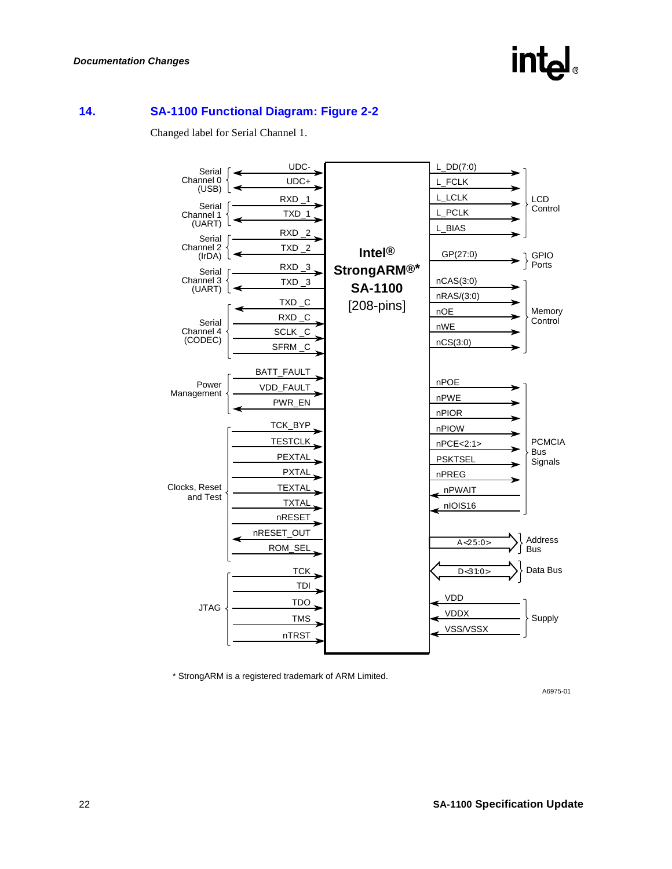## **intal**

### <span id="page-21-0"></span>**14. SA-1100 Functional Diagram: Figure 2-2**

Changed label for Serial Channel 1.



\* StrongARM is a registered trademark of ARM Limited.

A6975-01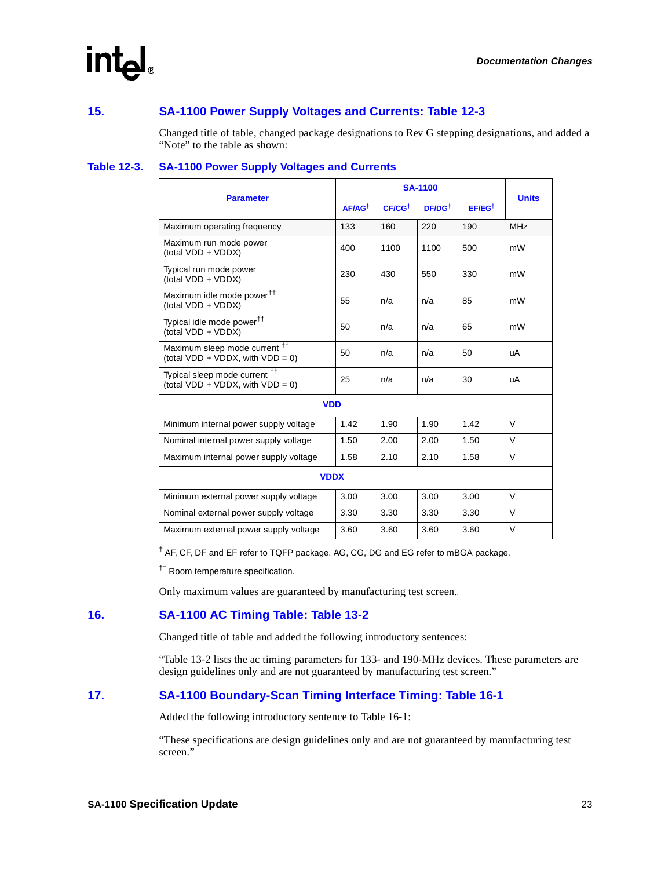### <span id="page-22-0"></span>**15. SA-1100 Power Supply Voltages and Currents: Table 12-3**

Changed title of table, changed package designations to Rev G stepping designations, and added a "Note" to the table as shown:

### **Table 12-3. SA-1100 Power Supply Voltages and Currents**

| <b>Parameter</b>                                                                   |                   | <b>Units</b>          |                   |                   |                 |
|------------------------------------------------------------------------------------|-------------------|-----------------------|-------------------|-------------------|-----------------|
|                                                                                    | $AF/AG^{\dagger}$ | $C_F / C G^{\dagger}$ | $DF/DG^{\dagger}$ | $EF/EG^{\dagger}$ |                 |
| Maximum operating frequency                                                        | 133               | 160                   | 220               | 190               | MH <sub>7</sub> |
| Maximum run mode power<br>(total VDD + VDDX)                                       | 400               | 1100                  | 1100              | 500               | mW              |
| Typical run mode power<br>(total VDD + VDDX)                                       | 230               | 430                   | 550               | 330               | mW              |
| Maximum idle mode power <sup>††</sup><br>(total VDD + VDDX)                        | 55                | n/a                   | n/a               | 85                | mW              |
| Typical idle mode power <sup>††</sup><br>(total VDD + VDDX)                        | 50                | n/a                   | n/a               | 65                | mW              |
| Maximum sleep mode current <sup>††</sup><br>(total $VDD + VDDX$ , with $VDD = 0$ ) | 50                | n/a                   | n/a               | 50                | uA              |
| Typical sleep mode current <sup>††</sup><br>(total $VDD + VDDX$ , with $VDD = 0$ ) | 25                | n/a                   | n/a               | 30                | uA              |
| <b>VDD</b>                                                                         |                   |                       |                   |                   |                 |
| Minimum internal power supply voltage                                              | 1.42              | 1.90                  | 1.90              | 1.42              | $\vee$          |
| Nominal internal power supply voltage                                              | 1.50              | 2.00                  | 2.00              | 1.50              | $\vee$          |
| Maximum internal power supply voltage                                              | 1.58              | 2.10                  | 2.10              | 1.58              | $\vee$          |
| <b>VDDX</b>                                                                        |                   |                       |                   |                   |                 |
| Minimum external power supply voltage                                              | 3.00              | 3.00                  | 3.00              | 3.00              | $\vee$          |
| Nominal external power supply voltage                                              | 3.30              | 3.30                  | 3.30              | 3.30              | $\vee$          |
| Maximum external power supply voltage                                              | 3.60              | 3.60                  | 3.60              | 3.60              | V               |

† AF, CF, DF and EF refer to TQFP package. AG, CG, DG and EG refer to mBGA package.

†† Room temperature specification.

Only maximum values are guaranteed by manufacturing test screen..

### <span id="page-22-1"></span>**16. SA-1100 AC Timing Table: Table 13-2**

Changed title of table and added the following introductory sentences:

"Table 13-2 lists the ac timing parameters for 133- and 190-MHz devices. These parameters are design guidelines only and are not guaranteed by manufacturing test screen."

### <span id="page-22-2"></span>**17. SA-1100 Boundary-Scan Timing Interface Timing: Table 16-1**

Added the following introductory sentence to Table 16-1:

"These specifications are design guidelines only and are not guaranteed by manufacturing test screen."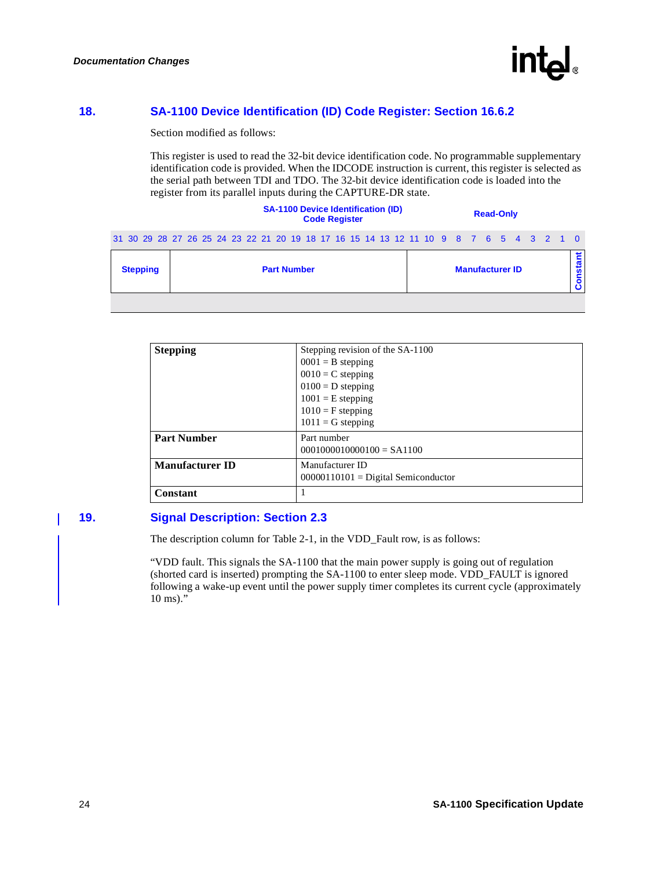

### <span id="page-23-0"></span>**18. SA-1100 Device Identification (ID) Code Register: Section 16.6.2**

Section modified as follows:

This register is used to read the 32-bit device identification code. No programmable supplementary identification code is provided. When the IDCODE instruction is current, this register is selected as the serial path between TDI and TDO. The 32-bit device identification code is loaded into the register from its parallel inputs during the CAPTURE-DR state.

|                                                                                       | <b>SA-1100 Device Identification (ID)</b><br><b>Code Register</b> |  |  |  |  |  |  |                    |  |  | <b>Read-Only</b> |  |  |                        |  |  |  |         |
|---------------------------------------------------------------------------------------|-------------------------------------------------------------------|--|--|--|--|--|--|--------------------|--|--|------------------|--|--|------------------------|--|--|--|---------|
| 31 30 29 28 27 26 25 24 23 22 21 20 19 18 17 16 15 14 13 12 11 10 9 8 7 6 5 4 3 2 1 0 |                                                                   |  |  |  |  |  |  |                    |  |  |                  |  |  |                        |  |  |  |         |
| <b>Stepping</b>                                                                       |                                                                   |  |  |  |  |  |  | <b>Part Number</b> |  |  |                  |  |  | <b>Manufacturer ID</b> |  |  |  | onstant |
|                                                                                       |                                                                   |  |  |  |  |  |  |                    |  |  |                  |  |  |                        |  |  |  |         |

| <b>Stepping</b>        | Stepping revision of the SA-1100<br>$0001 = B$ stepping<br>$0010 = C$ stepping<br>$0100 = D$ stepping<br>$1001$ = E stepping<br>$1010 = F$ stepping<br>$1011 = G$ stepping |
|------------------------|----------------------------------------------------------------------------------------------------------------------------------------------------------------------------|
| <b>Part Number</b>     | Part number<br>$0001000010000100 = SA1100$                                                                                                                                 |
| <b>Manufacturer ID</b> | Manufacturer ID<br>$00000110101 =$ Digital Semiconductor                                                                                                                   |
| Constant               |                                                                                                                                                                            |

### <span id="page-23-1"></span>**19. Signal Description: Section 2.3**

The description column for Table 2-1, in the VDD\_Fault row, is as follows:

"VDD fault. This signals the SA-1100 that the main power supply is going out of regulation (shorted card is inserted) prompting the SA-1100 to enter sleep mode. VDD\_FAULT is ignored following a wake-up event until the power supply timer completes its current cycle (approximately 10 ms)."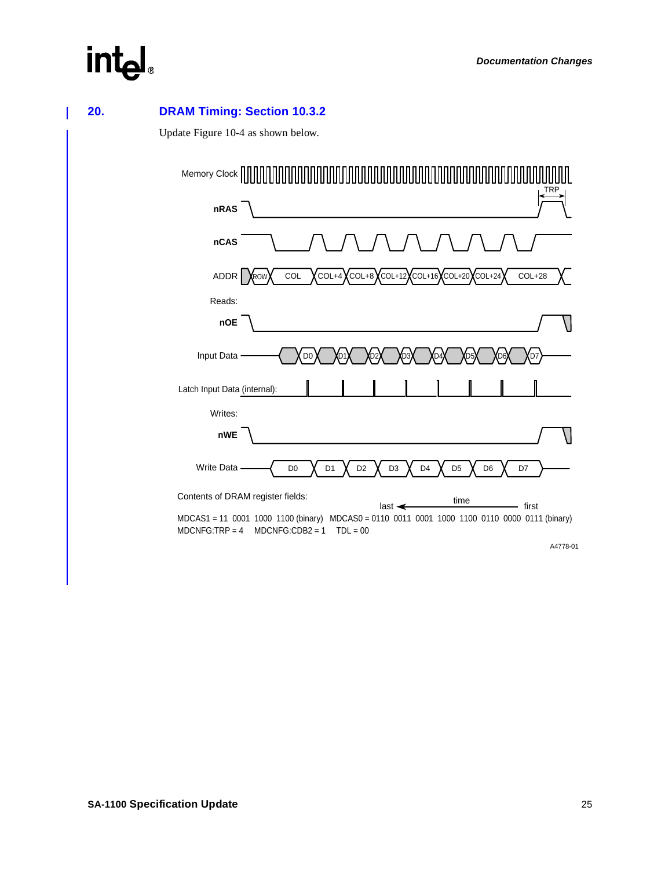<span id="page-24-0"></span>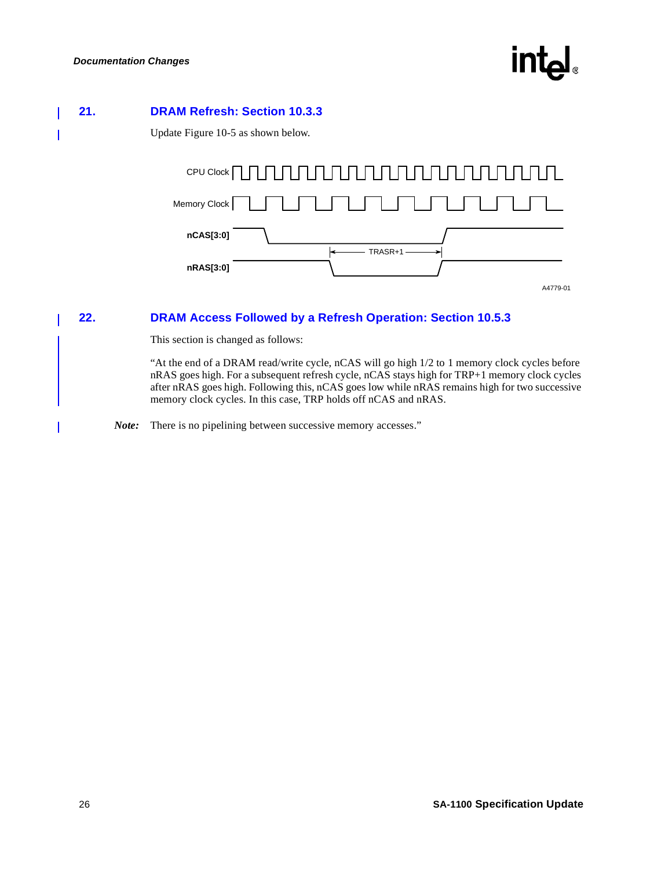# int

### <span id="page-25-0"></span>**21. DRAM Refresh: Section 10.3.3**

Update Figure 10-5 as shown below.



### <span id="page-25-1"></span>**22. DRAM Access Followed by a Refresh Operation: Section 10.5.3**

This section is changed as follows:

"At the end of a DRAM read/write cycle, nCAS will go high 1/2 to 1 memory clock cycles before nRAS goes high. For a subsequent refresh cycle, nCAS stays high for TRP+1 memory clock cycles after nRAS goes high. Following this, nCAS goes low while nRAS remains high for two successive memory clock cycles. In this case, TRP holds off nCAS and nRAS.

*Note:* There is no pipelining between successive memory accesses."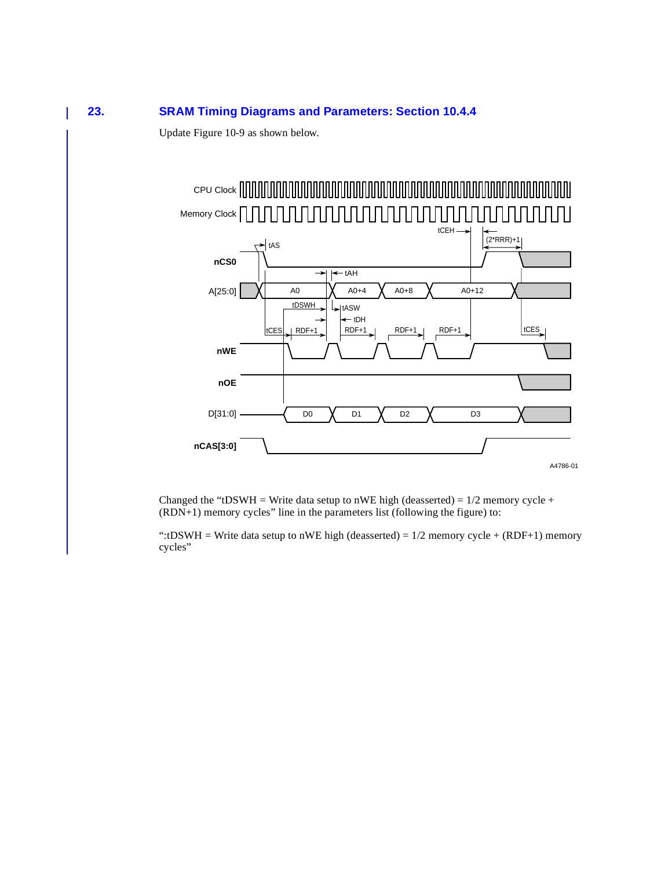### <span id="page-26-0"></span>**23. SRAM Timing Diagrams and Parameters: Section 10.4.4**

Update Figure 10-9 as shown below.



Changed the "tDSWH = Write data setup to nWE high (deasserted) =  $1/2$  memory cycle + (RDN+1) memory cycles" line in the parameters list (following the figure) to:

":tDSWH = Write data setup to nWE high (deasserted) =  $1/2$  memory cycle + (RDF+1) memory cycles"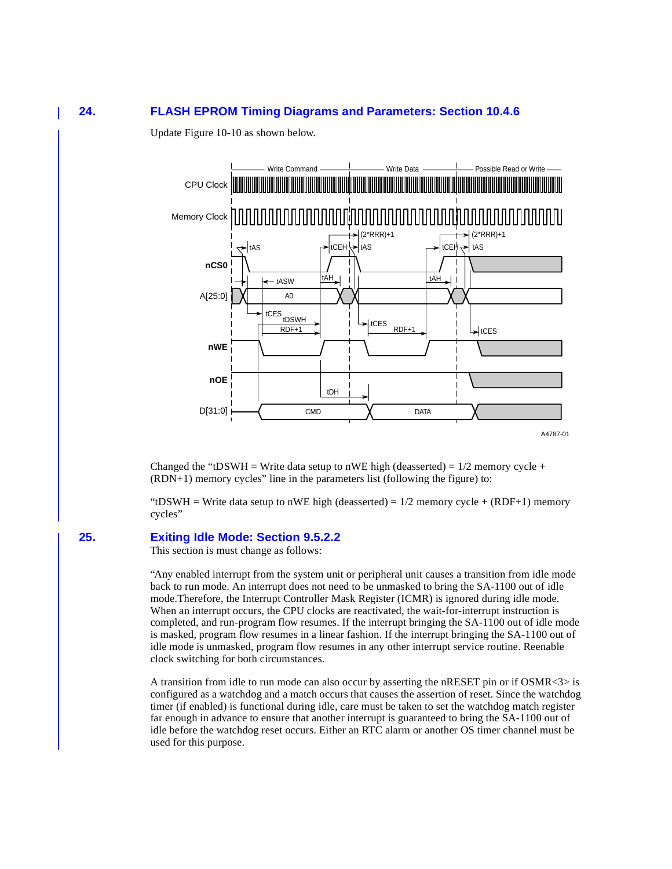### <span id="page-27-0"></span>**24. FLASH EPROM Timing Diagrams and Parameters: Section 10.4.6**

Update Figure 10-10 as shown below.



Changed the "tDSWH = Write data setup to nWE high (deasserted) =  $1/2$  memory cycle +  $(RDN+1)$  memory cycles" line in the parameters list (following the figure) to:

"tDSWH = Write data setup to nWE high (deasserted) =  $1/2$  memory cycle + (RDF+1) memory cycles"

#### <span id="page-27-1"></span>**25. Exiting Idle Mode: Section 9.5.2.2**

This section is must change as follows:

"Any enabled interrupt from the system unit or peripheral unit causes a transition from idle mode back to run mode. An interrupt does not need to be unmasked to bring the SA-1100 out of idle mode.Therefore, the Interrupt Controller Mask Register (ICMR) is ignored during idle mode. When an interrupt occurs, the CPU clocks are reactivated, the wait-for-interrupt instruction is completed, and run-program flow resumes. If the interrupt bringing the SA-1100 out of idle mode is masked, program flow resumes in a linear fashion. If the interrupt bringing the SA-1100 out of idle mode is unmasked, program flow resumes in any other interrupt service routine. Reenable clock switching for both circumstances.

A transition from idle to run mode can also occur by asserting the nRESET pin or if OSMR<3> is configured as a watchdog and a match occurs that causes the assertion of reset. Since the watchdog timer (if enabled) is functional during idle, care must be taken to set the watchdog match register far enough in advance to ensure that another interrupt is guaranteed to bring the SA-1100 out of idle before the watchdog reset occurs. Either an RTC alarm or another OS timer channel must be used for this purpose.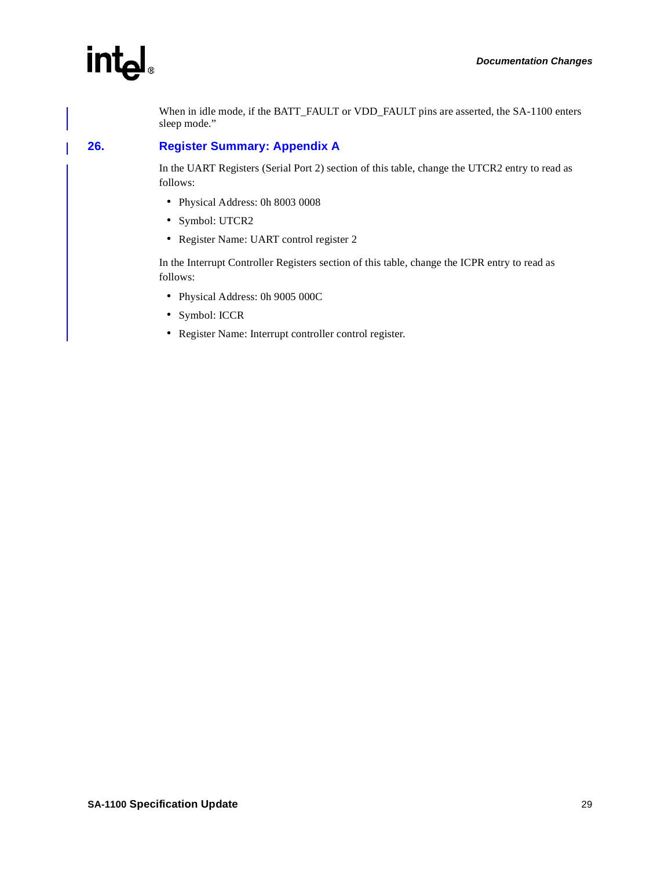When in idle mode, if the BATT\_FAULT or VDD\_FAULT pins are asserted, the SA-1100 enters sleep mode."

### <span id="page-28-0"></span>**26. Register Summary: Appendix A**

In the UART Registers (Serial Port 2) section of this table, change the UTCR2 entry to read as follows:

- Physical Address: 0h 8003 0008
- Symbol: UTCR2
- Register Name: UART control register 2

In the Interrupt Controller Registers section of this table, change the ICPR entry to read as follows:

- Physical Address: 0h 9005 000C
- Symbol: ICCR
- Register Name: Interrupt controller control register.